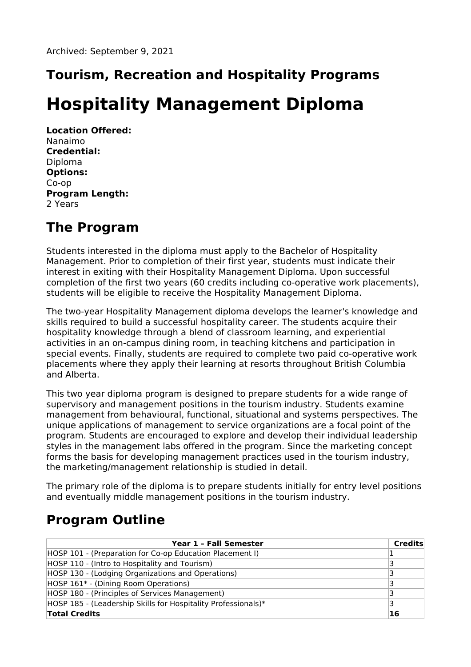## **Tourism, Recreation and Hospitality Programs**

# **Hospitality Management Diploma**

**Location Offered:** Nanaimo **Credential:** Diploma **Options:** Co-op **Program Length:** 2 Years

#### **The Program**

Students interested in the diploma must apply to the Bachelor of Hospitality Management. Prior to completion of their first year, students must indicate their interest in exiting with their Hospitality Management Diploma. Upon successful completion of the first two years (60 credits including co-operative work placements), students will be eligible to receive the Hospitality Management Diploma.

The two-year Hospitality Management diploma develops the learner's knowledge and skills required to build a successful hospitality career. The students acquire their hospitality knowledge through a blend of classroom learning, and experiential activities in an on-campus dining room, in teaching kitchens and participation in special events. Finally, students are required to complete two paid co-operative work placements where they apply their learning at resorts throughout British Columbia and Alberta.

This two year diploma program is designed to prepare students for a wide range of supervisory and management positions in the tourism industry. Students examine management from behavioural, functional, situational and systems perspectives. The unique applications of management to service organizations are a focal point of the program. Students are encouraged to explore and develop their individual leadership styles in the management labs offered in the program. Since the marketing concept forms the basis for developing management practices used in the tourism industry, the marketing/management relationship is studied in detail.

The primary role of the diploma is to prepare students initially for entry level positions and eventually middle management positions in the tourism industry.

### **Program Outline**

| Year 1 - Fall Semester                                        | <b>Credits</b> |
|---------------------------------------------------------------|----------------|
| HOSP 101 - (Preparation for Co-op Education Placement I)      |                |
| HOSP 110 - (Intro to Hospitality and Tourism)                 | з              |
| HOSP 130 - (Lodging Organizations and Operations)             |                |
| HOSP 161* - (Dining Room Operations)                          |                |
| HOSP 180 - (Principles of Services Management)                | ₹              |
| HOSP 185 - (Leadership Skills for Hospitality Professionals)* |                |
| <b>Total Credits</b>                                          | <b>16</b>      |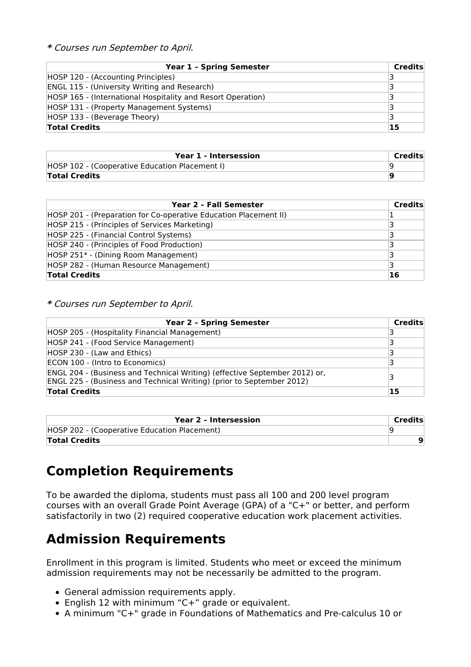**\*** Courses run September to April.

| <b>Year 1 - Spring Semester</b>                             | <b>Credits</b> |
|-------------------------------------------------------------|----------------|
| HOSP 120 - (Accounting Principles)                          |                |
| <b>ENGL 115 - (University Writing and Research)</b>         |                |
| HOSP 165 - (International Hospitality and Resort Operation) |                |
| HOSP 131 - (Property Management Systems)                    |                |
| HOSP 133 - (Beverage Theory)                                |                |
| <b>Total Credits</b>                                        | 15             |

| Year 1 - Intersession                          | Credits |
|------------------------------------------------|---------|
| HOSP 102 - (Cooperative Education Placement I) |         |
| <b>Total Credits</b>                           |         |

| Year 2 - Fall Semester                                           | <b>Credits</b> |
|------------------------------------------------------------------|----------------|
| HOSP 201 - (Preparation for Co-operative Education Placement II) |                |
| HOSP 215 - (Principles of Services Marketing)                    |                |
| HOSP 225 - (Financial Control Systems)                           |                |
| HOSP 240 - (Principles of Food Production)                       |                |
| HOSP 251* - (Dining Room Management)                             |                |
| HOSP 282 - (Human Resource Management)                           |                |
| <b>Total Credits</b>                                             | <b>16</b>      |

**\*** Courses run September to April.

| <b>Year 2 - Spring Semester</b>                                                                                                                     | Credits |
|-----------------------------------------------------------------------------------------------------------------------------------------------------|---------|
| HOSP 205 - (Hospitality Financial Management)                                                                                                       |         |
| HOSP 241 - (Food Service Management)                                                                                                                | R       |
| HOSP 230 - (Law and Ethics)                                                                                                                         |         |
| ECON 100 - (Intro to Economics)                                                                                                                     | З       |
| ENGL 204 - (Business and Technical Writing) (effective September 2012) or,<br>ENGL 225 - (Business and Technical Writing) (prior to September 2012) |         |
| <b>Total Credits</b>                                                                                                                                | 15      |

| Year 2 - Intersession                        | Credits |
|----------------------------------------------|---------|
| HOSP 202 - (Cooperative Education Placement) |         |
| <b>Total Credits</b>                         |         |

### **Completion Requirements**

To be awarded the diploma, students must pass all 100 and 200 level program courses with an overall Grade Point Average (GPA) of a "C+" or better, and perform satisfactorily in two (2) required cooperative education work placement activities.

#### **Admission Requirements**

Enrollment in this program is limited. Students who meet or exceed the minimum admission requirements may not be necessarily be admitted to the program.

- General admission requirements apply.
- English 12 with minimum "C+" grade or equivalent.
- A minimum "C+" grade in Foundations of Mathematics and Pre-calculus 10 or